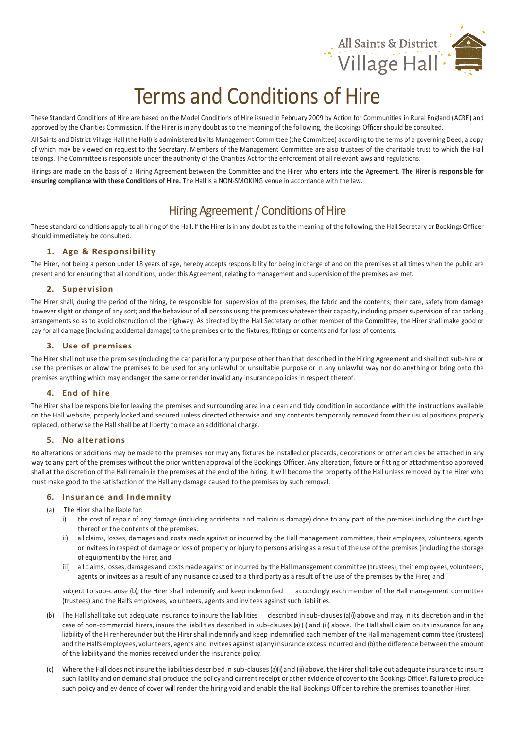

# Terms and Conditions of Hire

These Standard Conditions of Hire are based on the Model Conditions of Hire issued in February 2009 by Action for Communities in Rural England (ACRE) and approved by the Charities Commission. If the Hirer is in any doubt as to the meaning of the following, the Bookings Officer should be consulted.

All Saints and District Village Hall (the Hall) is administered by its Management Committee (the Committee) according to the terms of a governing Deed, a copy of which may be viewed on request to the Secretary. Members of the Management Committee are also trustees of the charitable trust to which the Hall belongs. The Committee is responsible under the authority of the Charities Act for the enforcement of all relevant laws and regulations.

Hirings are made on the basis of a Hiring Agreement between the Committee and the Hirer who enters into the Agreement. **The Hirer is responsible for ensuring compliance with these Conditions of Hire.** The Hall is a NON-SMOKING venue in accordance with the law.

# Hiring Agreement / Conditions of Hire

These standard conditions apply to all hiring of the Hall. Ifthe Hirer isin any doubt asto the meaning of the following, the Hall Secretary or Bookings Officer should immediately be consulted.

# **1. Age & Responsibility**

The Hirer, not being a person under 18 years of age, hereby accepts responsibility for being in charge of and on the premises at all times when the public are present and for ensuring that all conditions, under this Agreement, relating to management and supervision of the premises are met.

# **2. Supervision**

The Hirer shall, during the period of the hiring, be responsible for: supervision of the premises, the fabric and the contents; their care, safety from damage however slight or change of any sort; and the behaviour of all persons using the premises whatever their capacity, including proper supervision of car parking arrangements so as to avoid obstruction of the highway. As directed by the Hall Secretary or other member of the Committee, the Hirer shall make good or pay for all damage (including accidental damage) to the premises or to the fixtures, fittings or contents and for loss of contents.

# **3. Use of premises**

The Hirer shall not use the premises (including the car park) for any purpose other than that described in the Hiring Agreement and shall not sub-hire or use the premises or allow the premises to be used for any unlawful or unsuitable purpose or in any unlawful way nor do anything or bring onto the premises anything which may endanger the same or render invalid any insurance policies in respect thereof.

#### **4. End of hire**

The Hirer shall be responsible for leaving the premises and surrounding area in a clean and tidy condition in accordance with the instructions available on the Hall website, properly locked and secured unless directed otherwise and any contents temporarily removed from their usual positions properly replaced, otherwise the Hall shall be at liberty to make an additional charge.

# **5. No alterations**

No alterations or additions may be made to the premises nor may any fixtures be installed or placards, decorations or other articles be attached in any way to any part of the premises without the prior written approval of the Bookings Officer. Any alteration, fixture or fitting or attachment so approved shall atthe discretion of the Hall remain in the premises atthe end of the hiring. It will become the property of the Hall unless removed by the Hirer who must make good to the satisfaction of the Hall any damage caused to the premises by such removal.

# **6. Insurance and Indemnity**

- (a) The Hirer shall be liable for:
	- the cost of repair of any damage (including accidental and malicious damage) done to any part of the premises including the curtilage thereof or the contents of the premises.
	- ii) all claims, losses, damages and costs made against or incurred by the Hall management committee, their employees, volunteers, agents or inviteesin respect of damage or loss of property or injury to persons arising as a result of the use of the premises(including the storage of equipment) by the Hirer, and
	- iii) all claims, losses, damages and costs made against or incurred by the Hall management committee (trustees), their employees, volunteers, agents or invitees as a result of any nuisance caused to a third party as a result of the use of the premises by the Hirer, and

subject to sub-clause (b), the Hirer shall indemnify and keep indemnified accordingly each member of the Hall management committee (trustees) and the Hall's employees, volunteers, agents and invitees against such liabilities.

- (b) The Hall shall take out adequate insurance to insure the liabilities described in sub-clauses (a) (i) above and may, in its discretion and in the case of non-commercial hirers, insure the liabilities described in sub-clauses (a) (ii) and (iii) above. The Hall shall claim on its insurance for any liability of the Hirer hereunder but the Hirer shall indemnify and keep indemnified each member of the Hall management committee (trustees) and the Hall's employees, volunteers, agents and invitees against (a) any insurance excess incurred and (b) the difference between the amount of the liability and the monies received under the insurance policy.
- (c) Where the Hall does notinsure the liabilities described in sub-clauses(a)(ii)and (iii) above, the Hirershall take out adequate insurance to insure such liability and on demand shall produce the policy and current receipt or other evidence of cover to the Bookings Officer. Failure to produce such policy and evidence of cover will render the hiring void and enable the Hall Bookings Officer to rehire the premises to another Hirer.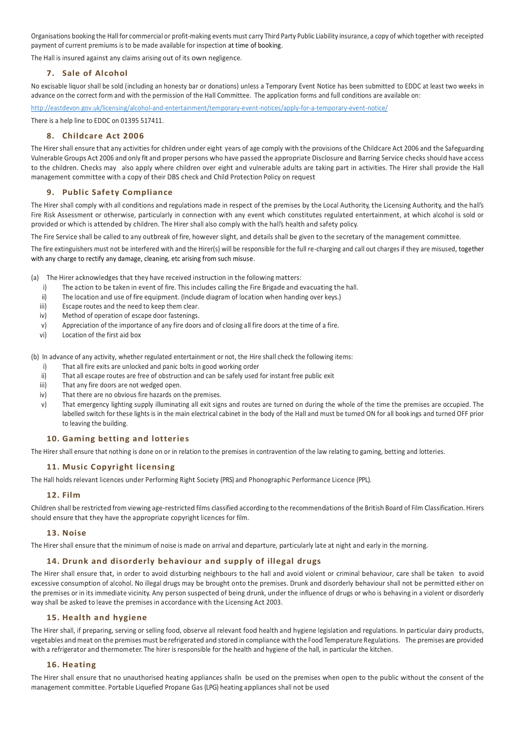Organisations booking the Hall for commercial or profit-making events must carry Third Party Public Liability insurance, a copy of which together with receipted payment of current premiums is to be made available for inspection at time of booking.

The Hall is insured against any claims arising out of its own negligence.

#### **7. Sale of Alcohol**

No excisable liquor shall be sold (including an honesty bar or donations) unless a Temporary Event Notice has been submitted to EDDC at least two weeks in advance on the correct form and with the permission of the Hall Committee. The application forms and full conditions are available on:

<http://eastdevon.gov.uk/licensing/alcohol-and-entertainment/temporary-event-notices/apply-for-a-temporary-event-notice/>

There is a help line to EDDC on 01395 517411.

# **8. Childcare Act 2006**

The Hirer shall ensure that any activities for children under eight years of age comply with the provisions of the Childcare Act 2006 and the Safeguarding Vulnerable Groups Act 2006 and only fit and proper persons who have passed the appropriate Disclosure and Barring Service checks should have access to the children. Checks may also apply where children over eight and vulnerable adults are taking part in activities. The Hirer shall provide the Hall management committee with a copy of their DBS check and Child Protection Policy on request

# **9. Public Safety Compliance**

The Hirer shall comply with all conditions and regulations made in respect of the premises by the Local Authority, the Licensing Authority, and the hall's Fire Risk Assessment or otherwise, particularly in connection with any event which constitutes regulated entertainment, at which alcohol is sold or provided or which is attended by children. The Hirer shall also comply with the hall's health and safety policy.

The Fire Service shall be called to any outbreak of fire, however slight, and details shall be given to the secretary of the management committee.

The fire extinguishers must not be interfered with and the Hirer(s) will be responsible for the full re-charging and call out charges if they are misused, together with any charge to rectify any damage, cleaning, etc arising from such misuse.

- (a) The Hirer acknowledges that they have received instruction in the following matters:
	- i) The action to be taken in event of fire. This includes calling the Fire Brigade and evacuating the hall.
	- ii) The location and use of fire equipment. (Include diagram of location when handing over keys.)
	- iii) Escape routes and the need to keep them clear.
	- iv) Method of operation of escape door fastenings.
	- v) Appreciation of the importance of any fire doors and of closing all fire doors at the time of a fire.
	- vi) Location of the first aid box

(b) In advance of any activity, whether regulated entertainment or not, the Hire shall check the following items:

- i) That all fire exits are unlocked and panic bolts in good working order
- ii) That all escape routes are free of obstruction and can be safely used for instant free public exit
- iii) That any fire doors are not wedged open.
- iv) That there are no obvious fire hazards on the premises.
- v) That emergency lighting supply illuminating all exit signs and routes are turned on during the whole of the time the premises are occupied. The labelled switch for these lights is in the main electrical cabinet in the body of the Hall and must be turned ON for all book ings and turned OFF prior to leaving the building.

#### **10. Gaming betting and lotteries**

The Hirer shall ensure that nothing is done on or in relation to the premises in contravention of the law relating to gaming, betting and lotteries.

# **11. Music Copyright licensing**

The Hall holds relevant licences under Performing Right Society (PRS) and Phonographic Performance Licence (PPL).

#### **12. Film**

Children shall be restricted from viewing age-restricted films classified according to the recommendations of the British Board of Film Classification. Hirers should ensure that they have the appropriate copyright licences for film.

#### **13. Noise**

The Hirer shall ensure that the minimum of noise is made on arrival and departure, particularly late at night and early in the morning.

# **14. Drunk and disorderly behaviour and supply of illegal drugs**

The Hirer shall ensure that, in order to avoid disturbing neighbours to the hall and avoid violent or criminal behaviour, care shall be taken to avoid excessive consumption of alcohol. No illegal drugs may be brought onto the premises. Drunk and disorderly behaviour shall not be permitted either on the premises or in its immediate vicinity. Any person suspected of being drunk, under the influence of drugs or who is behaving in a violent or disorderly way shall be asked to leave the premises in accordance with the Licensing Act 2003.

# **15. Health and hygiene**

The Hirer shall, if preparing, serving or selling food, observe all relevant food health and hygiene legislation and regulations. In particular dairy products, vegetables andmeat on the premises must be refrigerated and stored in compliance with the Food Temperature Regulations. The premises are provided with a refrigerator and thermometer. The hirer is responsible for the health and hygiene of the hall, in particular the kitchen.

# **16. Heating**

The Hirer shall ensure that no unauthorised heating appliances shalln be used on the premises when open to the public without the consent of the management committee. Portable Liquefied Propane Gas (LPG) heating appliances shall not be used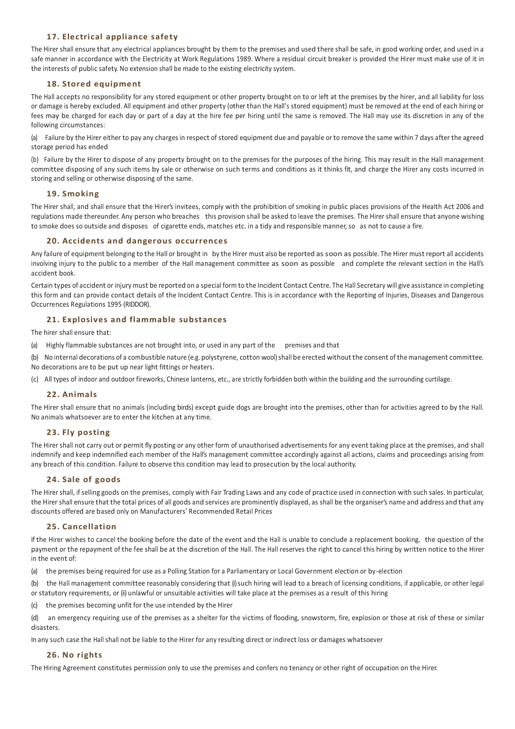# **17. Electrical appliance safety**

The Hirer shall ensure that any electrical appliances brought by them to the premises and used there shall be safe, in good working order, and used in a safe manner in accordance with the Electricity at Work Regulations 1989. Where a residual circuit breaker is provided the Hirer must make use of it in the interests of public safety. No extension shall be made to the existing electricity system.

#### **18. Stored equipment**

The Hall accepts no responsibility for any stored equipment or other property brought on to or left at the premises by the hirer, and all liability for loss or damage is hereby excluded. All equipment and other property (other than the Hall's stored equipment) must be removed at the end of each hiring or fees may be charged for each day or part of a day at the hire fee per hiring until the same is removed. The Hall may use its discretion in any of the following circumstances:

(a) Failure by the Hirer either to pay any chargesin respect of stored equipment due and payable or to remove the same within 7 days after the agreed storage period has ended

(b) Failure by the Hirer to dispose of any property brought on to the premises for the purposes of the hiring. This may result in the Hall management committee disposing of any such items by sale or otherwise on such terms and conditions as it thinks fit, and charge the Hirer any costs incurred in storing and selling or otherwise disposing of the same.

#### **19. Smoking**

The Hirer shall, and shall ensure that the Hirer's invitees, comply with the prohibition of smoking in public places provisions of the Health Act 2006 and regulations made thereunder. Any person who breaches this provision shall be asked to leave the premises. The Hirer shall ensure that anyone wishing to smoke does so outside and disposes of cigarette ends, matches etc. in a tidy and responsible manner, so as not to cause a fire.

#### **20. Accidents and dangerous occurrences**

Any failure of equipment belonging to the Hall or brought in by the Hirer must also be reported assoon as possible. The Hirer must report all accidents involving injury to the public to a member of the Hall management committee as soon as possible and complete the relevant section in the Hall's accident book.

Certain types of accident or injury must be reported on a special form to the Incident Contact Centre. The Hall Secretary will give assistance in completing this form and can provide contact details of the Incident Contact Centre. This is in accordance with the Reporting of Injuries, Diseases and Dangerous Occurrences Regulations 1995 (RIDDOR).

#### **21. Explosives and flammable substances**

The hirer shall ensure that:

(a) Highly flammable substances are not brought into, or used in any part of the premises and that

(b) No internal decorations of a combustible nature (e.g. polystyrene, cotton wool) shall be erected without the consent of the management committee. No decorations are to be put up near light fittings or heaters.

(c) All types of indoor and outdoor fireworks, Chinese lanterns, etc., are strictly forbidden both within the building and the surrounding curtilage.

#### **22. Animals**

The Hirer shall ensure that no animals (including birds) except guide dogs are brought into the premises, other than for activities agreed to by the Hall. No animals whatsoever are to enter the kitchen at any time.

#### **23. Fly posting**

The Hirer shall not carry out or permit fly posting or any other form of unauthorised advertisements for any event taking place at the premises, and shall indemnify and keep indemnified each member of the Hall's management committee accordingly against all actions, claims and proceedings arising from any breach of this condition. Failure to observe this condition may lead to prosecution by the local authority.

#### **24. Sale of goods**

The Hirer shall, if selling goods on the premises, comply with Fair Trading Laws and any code of practice used in connection with such sales. In particular, the Hirer shall ensure thatthe total prices of all goods and services are prominently displayed, as shall be the organiser's name and address and that any discounts offered are based only on Manufacturers' Recommended Retail Prices

#### **25. Cancellation**

If the Hirer wishes to cancel the booking before the date of the event and the Hall is unable to conclude a replacement booking, the question of the payment or the repayment of the fee shall be at the discretion of the Hall. The Hall reserves the right to cancel this hiring by written notice to the Hirer in the event of:

(a) the premises being required for use as a Polling Station for a Parliamentary or Local Government election or by-election

(b) the Hall management committee reasonably considering that (i)such hiring will lead to a breach of licensing conditions, if applicable, or other legal or statutory requirements, or (ii) unlawful or unsuitable activities will take place at the premises as a result of this hiring

(c) the premises becoming unfit for the use intended by the Hirer

(d) an emergency requiring use of the premises as a shelter for the victims of flooding, snowstorm, fire, explosion or those at risk of these or similar disasters.

In any such case the Hall shall not be liable to the Hirer for any resulting direct or indirect loss or damages whatsoever

#### **26. No rights**

The Hiring Agreement constitutes permission only to use the premises and confers no tenancy or other right of occupation on the Hirer.